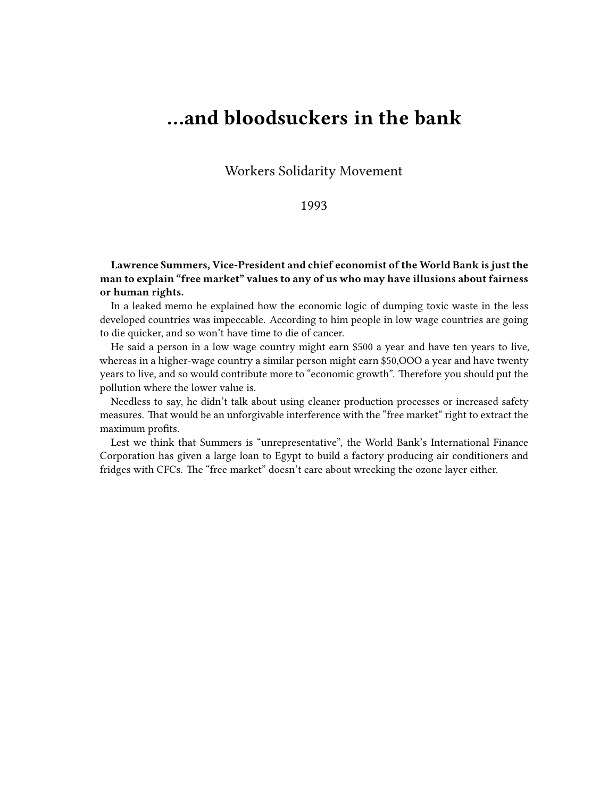## **…and bloodsuckers in the bank**

Workers Solidarity Movement

## 1993

**Lawrence Summers, Vice-President and chief economist of the World Bank is just the man to explain "free market" values to any of us who may have illusions about fairness or human rights.**

In a leaked memo he explained how the economic logic of dumping toxic waste in the less developed countries was impeccable. According to him people in low wage countries are going to die quicker, and so won't have time to die of cancer.

He said a person in a low wage country might earn \$500 a year and have ten years to live, whereas in a higher-wage country a similar person might earn \$50,OOO a year and have twenty years to live, and so would contribute more to "economic growth". Therefore you should put the pollution where the lower value is.

Needless to say, he didn't talk about using cleaner production processes or increased safety measures. That would be an unforgivable interference with the "free market" right to extract the maximum profits.

Lest we think that Summers is "unrepresentative", the World Bank's International Finance Corporation has given a large loan to Egypt to build a factory producing air conditioners and fridges with CFCs. The "free market" doesn't care about wrecking the ozone layer either.